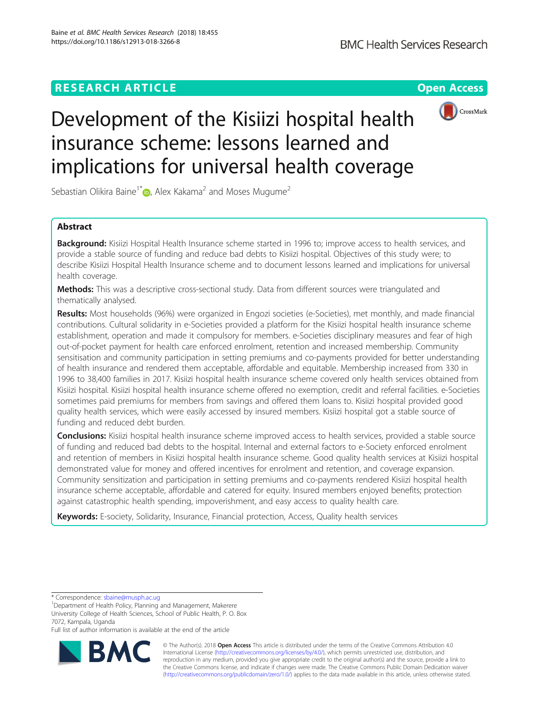# **RESEARCH ARTICLE Example 2014 12:30 The Contract of Contract ACCESS**



# Development of the Kisiizi hospital health insurance scheme: lessons learned and implications for universal health coverage

Sebastian Olikira Baine<sup>1[\\*](http://orcid.org/0000-0002-4869-916X)</sup> $\bullet$ , Alex Kakama<sup>2</sup> and Moses Mugume<sup>2</sup>

# Abstract

Background: Kisiizi Hospital Health Insurance scheme started in 1996 to; improve access to health services, and provide a stable source of funding and reduce bad debts to Kisiizi hospital. Objectives of this study were; to describe Kisiizi Hospital Health Insurance scheme and to document lessons learned and implications for universal health coverage.

Methods: This was a descriptive cross-sectional study. Data from different sources were triangulated and thematically analysed.

Results: Most households (96%) were organized in Engozi societies (e-Societies), met monthly, and made financial contributions. Cultural solidarity in e-Societies provided a platform for the Kisiizi hospital health insurance scheme establishment, operation and made it compulsory for members. e-Societies disciplinary measures and fear of high out-of-pocket payment for health care enforced enrolment, retention and increased membership. Community sensitisation and community participation in setting premiums and co-payments provided for better understanding of health insurance and rendered them acceptable, affordable and equitable. Membership increased from 330 in 1996 to 38,400 families in 2017. Kisiizi hospital health insurance scheme covered only health services obtained from Kisiizi hospital. Kisiizi hospital health insurance scheme offered no exemption, credit and referral facilities. e-Societies sometimes paid premiums for members from savings and offered them loans to. Kisiizi hospital provided good quality health services, which were easily accessed by insured members. Kisiizi hospital got a stable source of funding and reduced debt burden.

**Conclusions:** Kisiizi hospital health insurance scheme improved access to health services, provided a stable source of funding and reduced bad debts to the hospital. Internal and external factors to e-Society enforced enrolment and retention of members in Kisiizi hospital health insurance scheme. Good quality health services at Kisiizi hospital demonstrated value for money and offered incentives for enrolment and retention, and coverage expansion. Community sensitization and participation in setting premiums and co-payments rendered Kisiizi hospital health insurance scheme acceptable, affordable and catered for equity. Insured members enjoyed benefits; protection against catastrophic health spending, impoverishment, and easy access to quality health care.

Keywords: E-society, Solidarity, Insurance, Financial protection, Access, Quality health services

\* Correspondence: [sbaine@musph.ac.ug](mailto:sbaine@musph.ac.ug) <sup>1</sup>

<sup>1</sup>Department of Health Policy, Planning and Management, Makerere University College of Health Sciences, School of Public Health, P. O. Box 7072, Kampala, Uganda

Full list of author information is available at the end of the article



© The Author(s). 2018 Open Access This article is distributed under the terms of the Creative Commons Attribution 4.0 International License [\(http://creativecommons.org/licenses/by/4.0/](http://creativecommons.org/licenses/by/4.0/)), which permits unrestricted use, distribution, and reproduction in any medium, provided you give appropriate credit to the original author(s) and the source, provide a link to the Creative Commons license, and indicate if changes were made. The Creative Commons Public Domain Dedication waiver [\(http://creativecommons.org/publicdomain/zero/1.0/](http://creativecommons.org/publicdomain/zero/1.0/)) applies to the data made available in this article, unless otherwise stated.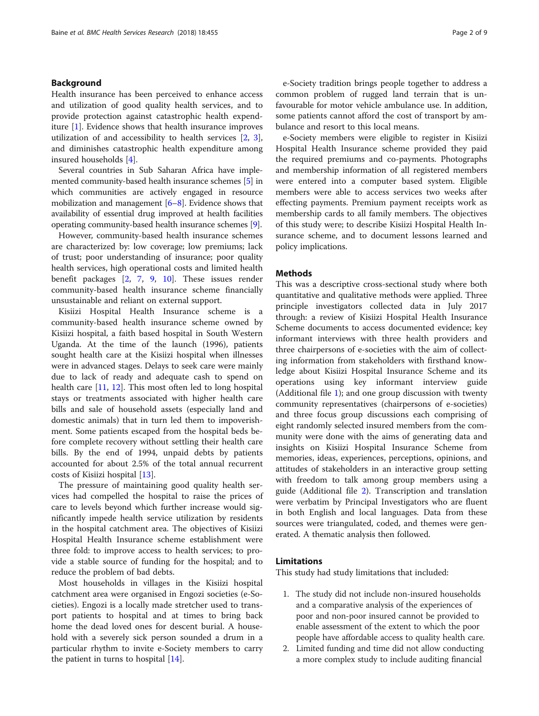# Background

Health insurance has been perceived to enhance access and utilization of good quality health services, and to provide protection against catastrophic health expenditure [\[1](#page-7-0)]. Evidence shows that health insurance improves utilization of and accessibility to health services [[2,](#page-7-0) [3](#page-7-0)], and diminishes catastrophic health expenditure among insured households [\[4\]](#page-7-0).

Several countries in Sub Saharan Africa have implemented community-based health insurance schemes [\[5\]](#page-7-0) in which communities are actively engaged in resource mobilization and management [\[6](#page-7-0)–[8\]](#page-7-0). Evidence shows that availability of essential drug improved at health facilities operating community-based health insurance schemes [[9](#page-7-0)].

However, community-based health insurance schemes are characterized by: low coverage; low premiums; lack of trust; poor understanding of insurance; poor quality health services, high operational costs and limited health benefit packages [[2,](#page-7-0) [7,](#page-7-0) [9,](#page-7-0) [10\]](#page-7-0). These issues render community-based health insurance scheme financially unsustainable and reliant on external support.

Kisiizi Hospital Health Insurance scheme is a community-based health insurance scheme owned by Kisiizi hospital, a faith based hospital in South Western Uganda. At the time of the launch (1996), patients sought health care at the Kisiizi hospital when illnesses were in advanced stages. Delays to seek care were mainly due to lack of ready and adequate cash to spend on health care [\[11](#page-7-0), [12](#page-7-0)]. This most often led to long hospital stays or treatments associated with higher health care bills and sale of household assets (especially land and domestic animals) that in turn led them to impoverishment. Some patients escaped from the hospital beds before complete recovery without settling their health care bills. By the end of 1994, unpaid debts by patients accounted for about 2.5% of the total annual recurrent costs of Kisiizi hospital [[13\]](#page-7-0).

The pressure of maintaining good quality health services had compelled the hospital to raise the prices of care to levels beyond which further increase would significantly impede health service utilization by residents in the hospital catchment area. The objectives of Kisiizi Hospital Health Insurance scheme establishment were three fold: to improve access to health services; to provide a stable source of funding for the hospital; and to reduce the problem of bad debts.

Most households in villages in the Kisiizi hospital catchment area were organised in Engozi societies (e-Societies). Engozi is a locally made stretcher used to transport patients to hospital and at times to bring back home the dead loved ones for descent burial. A household with a severely sick person sounded a drum in a particular rhythm to invite e-Society members to carry the patient in turns to hospital [\[14](#page-7-0)].

e-Society tradition brings people together to address a common problem of rugged land terrain that is unfavourable for motor vehicle ambulance use. In addition, some patients cannot afford the cost of transport by ambulance and resort to this local means.

e-Society members were eligible to register in Kisiizi Hospital Health Insurance scheme provided they paid the required premiums and co-payments. Photographs and membership information of all registered members were entered into a computer based system. Eligible members were able to access services two weeks after effecting payments. Premium payment receipts work as membership cards to all family members. The objectives of this study were; to describe Kisiizi Hospital Health Insurance scheme, and to document lessons learned and policy implications.

# **Methods**

This was a descriptive cross-sectional study where both quantitative and qualitative methods were applied. Three principle investigators collected data in July 2017 through: a review of Kisiizi Hospital Health Insurance Scheme documents to access documented evidence; key informant interviews with three health providers and three chairpersons of e-societies with the aim of collecting information from stakeholders with firsthand knowledge about Kisiizi Hospital Insurance Scheme and its operations using key informant interview guide (Additional file [1](#page-6-0)); and one group discussion with twenty community representatives (chairpersons of e-societies) and three focus group discussions each comprising of eight randomly selected insured members from the community were done with the aims of generating data and insights on Kisiizi Hospital Insurance Scheme from memories, ideas, experiences, perceptions, opinions, and attitudes of stakeholders in an interactive group setting with freedom to talk among group members using a guide (Additional file [2\)](#page-7-0). Transcription and translation were verbatim by Principal Investigators who are fluent in both English and local languages. Data from these sources were triangulated, coded, and themes were generated. A thematic analysis then followed.

# Limitations

This study had study limitations that included:

- 1. The study did not include non-insured households and a comparative analysis of the experiences of poor and non-poor insured cannot be provided to enable assessment of the extent to which the poor people have affordable access to quality health care.
- 2. Limited funding and time did not allow conducting a more complex study to include auditing financial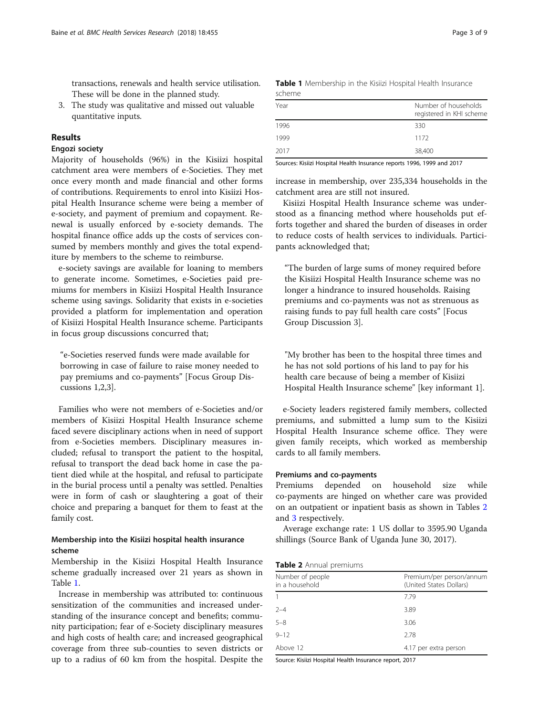transactions, renewals and health service utilisation. These will be done in the planned study.

3. The study was qualitative and missed out valuable quantitative inputs.

# Results

# Engozi society

Majority of households (96%) in the Kisiizi hospital catchment area were members of e-Societies. They met once every month and made financial and other forms of contributions. Requirements to enrol into Kisiizi Hospital Health Insurance scheme were being a member of e-society, and payment of premium and copayment. Renewal is usually enforced by e-society demands. The hospital finance office adds up the costs of services consumed by members monthly and gives the total expenditure by members to the scheme to reimburse.

e-society savings are available for loaning to members to generate income. Sometimes, e-Societies paid premiums for members in Kisiizi Hospital Health Insurance scheme using savings. Solidarity that exists in e-societies provided a platform for implementation and operation of Kisiizi Hospital Health Insurance scheme. Participants in focus group discussions concurred that;

"e-Societies reserved funds were made available for borrowing in case of failure to raise money needed to pay premiums and co-payments" [Focus Group Discussions 1,2,3].

Families who were not members of e-Societies and/or members of Kisiizi Hospital Health Insurance scheme faced severe disciplinary actions when in need of support from e-Societies members. Disciplinary measures included; refusal to transport the patient to the hospital, refusal to transport the dead back home in case the patient died while at the hospital, and refusal to participate in the burial process until a penalty was settled. Penalties were in form of cash or slaughtering a goat of their choice and preparing a banquet for them to feast at the family cost.

# Membership into the Kisiizi hospital health insurance scheme

Membership in the Kisiizi Hospital Health Insurance scheme gradually increased over 21 years as shown in Table 1.

Increase in membership was attributed to: continuous sensitization of the communities and increased understanding of the insurance concept and benefits; community participation; fear of e-Society disciplinary measures and high costs of health care; and increased geographical coverage from three sub-counties to seven districts or up to a radius of 60 km from the hospital. Despite the

|        | <b>Table 1</b> Membership in the Kisiizi Hospital Health Insurance |  |  |  |
|--------|--------------------------------------------------------------------|--|--|--|
| scheme |                                                                    |  |  |  |

| Year | Number of households<br>registered in KHI scheme |
|------|--------------------------------------------------|
| 1996 | 330                                              |
| 1999 | 1172                                             |
| 2017 | 38,400                                           |

Sources: Kisiizi Hospital Health Insurance reports 1996, 1999 and 2017

increase in membership, over 235,334 households in the catchment area are still not insured.

Kisiizi Hospital Health Insurance scheme was understood as a financing method where households put efforts together and shared the burden of diseases in order to reduce costs of health services to individuals. Participants acknowledged that;

"The burden of large sums of money required before the Kisiizi Hospital Health Insurance scheme was no longer a hindrance to insured households. Raising premiums and co-payments was not as strenuous as raising funds to pay full health care costs" [Focus Group Discussion 3].

"My brother has been to the hospital three times and he has not sold portions of his land to pay for his health care because of being a member of Kisiizi Hospital Health Insurance scheme" [key informant 1].

e-Society leaders registered family members, collected premiums, and submitted a lump sum to the Kisiizi Hospital Health Insurance scheme office. They were given family receipts, which worked as membership cards to all family members.

#### Premiums and co-payments

Premiums depended on household size while co-payments are hinged on whether care was provided on an outpatient or inpatient basis as shown in Tables 2 and [3](#page-3-0) respectively.

Average exchange rate: 1 US dollar to 3595.90 Uganda shillings (Source Bank of Uganda June 30, 2017).

| Table 2 Annual premiums |  |
|-------------------------|--|
|-------------------------|--|

| Number of people<br>in a household | Premium/per person/annum<br>(United States Dollars) |
|------------------------------------|-----------------------------------------------------|
|                                    | 7.79                                                |
| $2 - 4$                            | 3.89                                                |
| $5 - 8$                            | 3.06                                                |
| $9 - 12$                           | 2.78                                                |
| Above 12                           | 4.17 per extra person                               |
|                                    |                                                     |

Source: Kisiizi Hospital Health Insurance report, 2017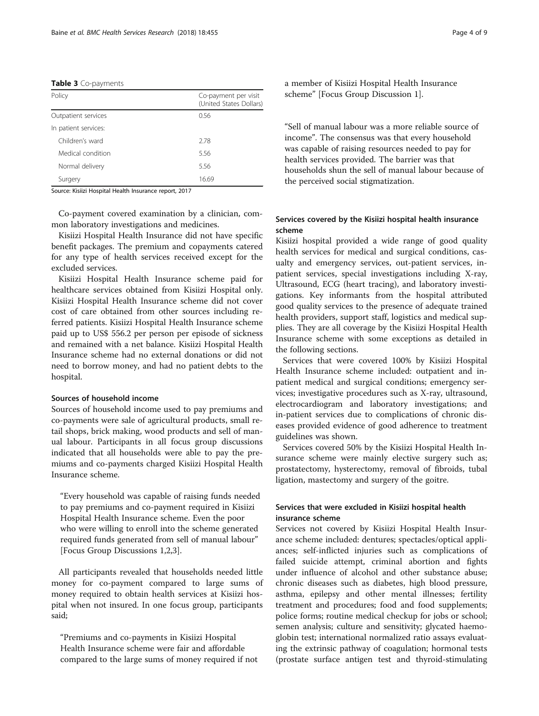#### <span id="page-3-0"></span>Table 3 Co-payments

| Policy               | Co-payment per visit<br>(United States Dollars) |
|----------------------|-------------------------------------------------|
| Outpatient services  | 0.56                                            |
| In patient services: |                                                 |
| Children's ward      | 2.78                                            |
| Medical condition    | 5.56                                            |
| Normal delivery      | 5.56                                            |
| Surgery              | 16.69                                           |

Source: Kisiizi Hospital Health Insurance report, 2017

Co-payment covered examination by a clinician, common laboratory investigations and medicines.

Kisiizi Hospital Health Insurance did not have specific benefit packages. The premium and copayments catered for any type of health services received except for the excluded services.

Kisiizi Hospital Health Insurance scheme paid for healthcare services obtained from Kisiizi Hospital only. Kisiizi Hospital Health Insurance scheme did not cover cost of care obtained from other sources including referred patients. Kisiizi Hospital Health Insurance scheme paid up to US\$ 556.2 per person per episode of sickness and remained with a net balance. Kisiizi Hospital Health Insurance scheme had no external donations or did not need to borrow money, and had no patient debts to the hospital.

#### Sources of household income

Sources of household income used to pay premiums and co-payments were sale of agricultural products, small retail shops, brick making, wood products and sell of manual labour. Participants in all focus group discussions indicated that all households were able to pay the premiums and co-payments charged Kisiizi Hospital Health Insurance scheme.

"Every household was capable of raising funds needed to pay premiums and co-payment required in Kisiizi Hospital Health Insurance scheme. Even the poor who were willing to enroll into the scheme generated required funds generated from sell of manual labour" [Focus Group Discussions 1,2,3].

All participants revealed that households needed little money for co-payment compared to large sums of money required to obtain health services at Kisiizi hospital when not insured. In one focus group, participants said;

"Premiums and co-payments in Kisiizi Hospital Health Insurance scheme were fair and affordable compared to the large sums of money required if not a member of Kisiizi Hospital Health Insurance scheme" [Focus Group Discussion 1].

"Sell of manual labour was a more reliable source of income". The consensus was that every household was capable of raising resources needed to pay for health services provided. The barrier was that households shun the sell of manual labour because of the perceived social stigmatization.

# Services covered by the Kisiizi hospital health insurance scheme

Kisiizi hospital provided a wide range of good quality health services for medical and surgical conditions, casualty and emergency services, out-patient services, inpatient services, special investigations including X-ray, Ultrasound, ECG (heart tracing), and laboratory investigations. Key informants from the hospital attributed good quality services to the presence of adequate trained health providers, support staff, logistics and medical supplies. They are all coverage by the Kisiizi Hospital Health Insurance scheme with some exceptions as detailed in the following sections.

Services that were covered 100% by Kisiizi Hospital Health Insurance scheme included: outpatient and inpatient medical and surgical conditions; emergency services; investigative procedures such as X-ray, ultrasound, electrocardiogram and laboratory investigations; and in-patient services due to complications of chronic diseases provided evidence of good adherence to treatment guidelines was shown.

Services covered 50% by the Kisiizi Hospital Health Insurance scheme were mainly elective surgery such as; prostatectomy, hysterectomy, removal of fibroids, tubal ligation, mastectomy and surgery of the goitre.

# Services that were excluded in Kisiizi hospital health insurance scheme

Services not covered by Kisiizi Hospital Health Insurance scheme included: dentures; spectacles/optical appliances; self-inflicted injuries such as complications of failed suicide attempt, criminal abortion and fights under influence of alcohol and other substance abuse; chronic diseases such as diabetes, high blood pressure, asthma, epilepsy and other mental illnesses; fertility treatment and procedures; food and food supplements; police forms; routine medical checkup for jobs or school; semen analysis; culture and sensitivity; glycated haemoglobin test; international normalized ratio assays evaluating the extrinsic pathway of coagulation; hormonal tests (prostate surface antigen test and thyroid-stimulating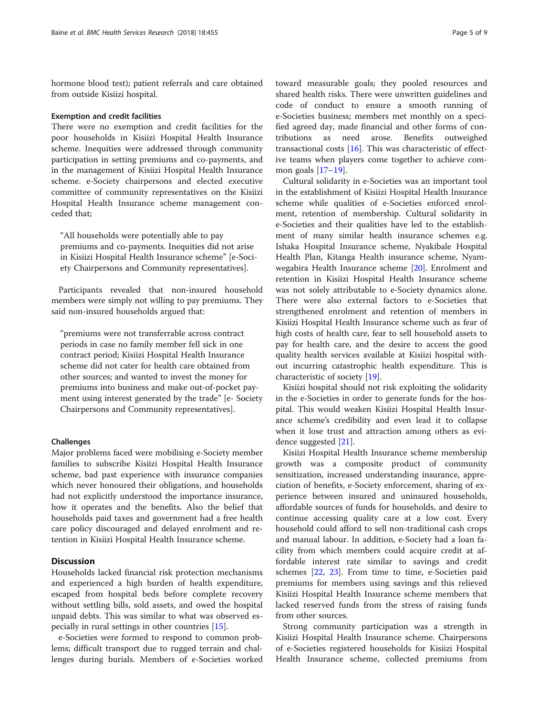hormone blood test); patient referrals and care obtained from outside Kisiizi hospital.

#### Exemption and credit facilities

There were no exemption and credit facilities for the poor households in Kisiizi Hospital Health Insurance scheme. Inequities were addressed through community participation in setting premiums and co-payments, and in the management of Kisiizi Hospital Health Insurance scheme. e-Society chairpersons and elected executive committee of community representatives on the Kisiizi Hospital Health Insurance scheme management conceded that;

"All households were potentially able to pay premiums and co-payments. Inequities did not arise in Kisiizi Hospital Health Insurance scheme" [e-Society Chairpersons and Community representatives].

Participants revealed that non-insured household members were simply not willing to pay premiums. They said non-insured households argued that:

"premiums were not transferrable across contract periods in case no family member fell sick in one contract period; Kisiizi Hospital Health Insurance scheme did not cater for health care obtained from other sources; and wanted to invest the money for premiums into business and make out-of-pocket payment using interest generated by the trade" [e- Society Chairpersons and Community representatives].

#### Challenges

Major problems faced were mobilising e-Society member families to subscribe Kisiizi Hospital Health Insurance scheme, bad past experience with insurance companies which never honoured their obligations, and households had not explicitly understood the importance insurance, how it operates and the benefits. Also the belief that households paid taxes and government had a free health care policy discouraged and delayed enrolment and retention in Kisiizi Hospital Health Insurance scheme.

# **Discussion**

Households lacked financial risk protection mechanisms and experienced a high burden of health expenditure, escaped from hospital beds before complete recovery without settling bills, sold assets, and owed the hospital unpaid debts. This was similar to what was observed especially in rural settings in other countries [\[15\]](#page-7-0).

e-Societies were formed to respond to common problems; difficult transport due to rugged terrain and challenges during burials. Members of e-Societies worked

toward measurable goals; they pooled resources and shared health risks. There were unwritten guidelines and code of conduct to ensure a smooth running of e-Societies business; members met monthly on a specified agreed day, made financial and other forms of contributions as need arose. Benefits outweighed transactional costs [[16\]](#page-7-0). This was characteristic of effective teams when players come together to achieve common goals [\[17](#page-7-0)–[19\]](#page-7-0).

Cultural solidarity in e-Societies was an important tool in the establishment of Kisiizi Hospital Health Insurance scheme while qualities of e-Societies enforced enrolment, retention of membership. Cultural solidarity in e-Societies and their qualities have led to the establishment of many similar health insurance schemes e.g. Ishaka Hospital Insurance scheme, Nyakibale Hospital Health Plan, Kitanga Health insurance scheme, Nyamwegabira Health Insurance scheme [\[20](#page-7-0)]. Enrolment and retention in Kisiizi Hospital Health Insurance scheme was not solely attributable to e-Society dynamics alone. There were also external factors to e-Societies that strengthened enrolment and retention of members in Kisiizi Hospital Health Insurance scheme such as fear of high costs of health care, fear to sell household assets to pay for health care, and the desire to access the good quality health services available at Kisiizi hospital without incurring catastrophic health expenditure. This is characteristic of society [[19\]](#page-7-0).

Kisiizi hospital should not risk exploiting the solidarity in the e-Societies in order to generate funds for the hospital. This would weaken Kisiizi Hospital Health Insurance scheme's credibility and even lead it to collapse when it lose trust and attraction among others as evidence suggested [\[21\]](#page-7-0).

Kisiizi Hospital Health Insurance scheme membership growth was a composite product of community sensitization, increased understanding insurance, appreciation of benefits, e-Society enforcement, sharing of experience between insured and uninsured households, affordable sources of funds for households, and desire to continue accessing quality care at a low cost. Every household could afford to sell non-traditional cash crops and manual labour. In addition, e-Society had a loan facility from which members could acquire credit at affordable interest rate similar to savings and credit schemes [\[22,](#page-8-0) [23\]](#page-8-0). From time to time, e-Societies paid premiums for members using savings and this relieved Kisiizi Hospital Health Insurance scheme members that lacked reserved funds from the stress of raising funds from other sources.

Strong community participation was a strength in Kisiizi Hospital Health Insurance scheme. Chairpersons of e-Societies registered households for Kisiizi Hospital Health Insurance scheme, collected premiums from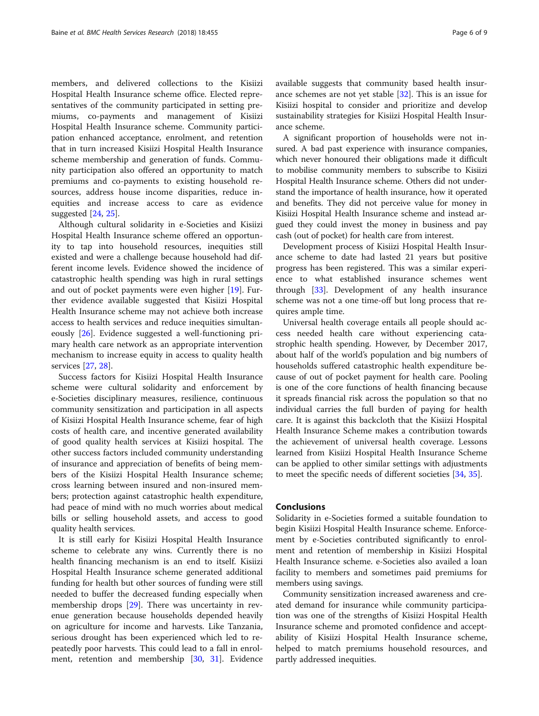members, and delivered collections to the Kisiizi Hospital Health Insurance scheme office. Elected representatives of the community participated in setting premiums, co-payments and management of Kisiizi Hospital Health Insurance scheme. Community participation enhanced acceptance, enrolment, and retention that in turn increased Kisiizi Hospital Health Insurance scheme membership and generation of funds. Community participation also offered an opportunity to match premiums and co-payments to existing household resources, address house income disparities, reduce inequities and increase access to care as evidence suggested [\[24](#page-8-0), [25\]](#page-8-0).

Although cultural solidarity in e-Societies and Kisiizi Hospital Health Insurance scheme offered an opportunity to tap into household resources, inequities still existed and were a challenge because household had different income levels. Evidence showed the incidence of catastrophic health spending was high in rural settings and out of pocket payments were even higher [\[19](#page-7-0)]. Further evidence available suggested that Kisiizi Hospital Health Insurance scheme may not achieve both increase access to health services and reduce inequities simultaneously [\[26\]](#page-8-0). Evidence suggested a well-functioning primary health care network as an appropriate intervention mechanism to increase equity in access to quality health services [[27](#page-8-0), [28](#page-8-0)].

Success factors for Kisiizi Hospital Health Insurance scheme were cultural solidarity and enforcement by e-Societies disciplinary measures, resilience, continuous community sensitization and participation in all aspects of Kisiizi Hospital Health Insurance scheme, fear of high costs of health care, and incentive generated availability of good quality health services at Kisiizi hospital. The other success factors included community understanding of insurance and appreciation of benefits of being members of the Kisiizi Hospital Health Insurance scheme; cross learning between insured and non-insured members; protection against catastrophic health expenditure, had peace of mind with no much worries about medical bills or selling household assets, and access to good quality health services.

It is still early for Kisiizi Hospital Health Insurance scheme to celebrate any wins. Currently there is no health financing mechanism is an end to itself. Kisiizi Hospital Health Insurance scheme generated additional funding for health but other sources of funding were still needed to buffer the decreased funding especially when membership drops [[29\]](#page-8-0). There was uncertainty in revenue generation because households depended heavily on agriculture for income and harvests. Like Tanzania, serious drought has been experienced which led to repeatedly poor harvests. This could lead to a fall in enrolment, retention and membership [[30](#page-8-0), [31](#page-8-0)]. Evidence available suggests that community based health insurance schemes are not yet stable [[32\]](#page-8-0). This is an issue for Kisiizi hospital to consider and prioritize and develop sustainability strategies for Kisiizi Hospital Health Insurance scheme.

A significant proportion of households were not insured. A bad past experience with insurance companies, which never honoured their obligations made it difficult to mobilise community members to subscribe to Kisiizi Hospital Health Insurance scheme. Others did not understand the importance of health insurance, how it operated and benefits. They did not perceive value for money in Kisiizi Hospital Health Insurance scheme and instead argued they could invest the money in business and pay cash (out of pocket) for health care from interest.

Development process of Kisiizi Hospital Health Insurance scheme to date had lasted 21 years but positive progress has been registered. This was a similar experience to what established insurance schemes went through [\[33](#page-8-0)]. Development of any health insurance scheme was not a one time-off but long process that requires ample time.

Universal health coverage entails all people should access needed health care without experiencing catastrophic health spending. However, by December 2017, about half of the world's population and big numbers of households suffered catastrophic health expenditure because of out of pocket payment for health care. Pooling is one of the core functions of health financing because it spreads financial risk across the population so that no individual carries the full burden of paying for health care. It is against this backcloth that the Kisiizi Hospital Health Insurance Scheme makes a contribution towards the achievement of universal health coverage. Lessons learned from Kisiizi Hospital Health Insurance Scheme can be applied to other similar settings with adjustments to meet the specific needs of different societies [\[34,](#page-8-0) [35\]](#page-8-0).

### Conclusions

Solidarity in e-Societies formed a suitable foundation to begin Kisiizi Hospital Health Insurance scheme. Enforcement by e-Societies contributed significantly to enrolment and retention of membership in Kisiizi Hospital Health Insurance scheme. e-Societies also availed a loan facility to members and sometimes paid premiums for members using savings.

Community sensitization increased awareness and created demand for insurance while community participation was one of the strengths of Kisiizi Hospital Health Insurance scheme and promoted confidence and acceptability of Kisiizi Hospital Health Insurance scheme, helped to match premiums household resources, and partly addressed inequities.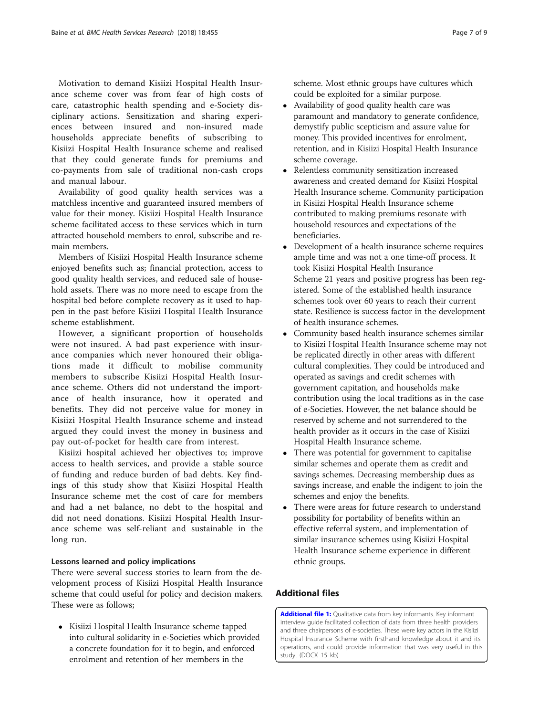<span id="page-6-0"></span>Motivation to demand Kisiizi Hospital Health Insurance scheme cover was from fear of high costs of care, catastrophic health spending and e-Society disciplinary actions. Sensitization and sharing experiences between insured and non-insured made households appreciate benefits of subscribing to Kisiizi Hospital Health Insurance scheme and realised that they could generate funds for premiums and co-payments from sale of traditional non-cash crops and manual labour.

Availability of good quality health services was a matchless incentive and guaranteed insured members of value for their money. Kisiizi Hospital Health Insurance scheme facilitated access to these services which in turn attracted household members to enrol, subscribe and remain members.

Members of Kisiizi Hospital Health Insurance scheme enjoyed benefits such as; financial protection, access to good quality health services, and reduced sale of household assets. There was no more need to escape from the hospital bed before complete recovery as it used to happen in the past before Kisiizi Hospital Health Insurance scheme establishment.

However, a significant proportion of households were not insured. A bad past experience with insurance companies which never honoured their obligations made it difficult to mobilise community members to subscribe Kisiizi Hospital Health Insurance scheme. Others did not understand the importance of health insurance, how it operated and benefits. They did not perceive value for money in Kisiizi Hospital Health Insurance scheme and instead argued they could invest the money in business and pay out-of-pocket for health care from interest.

Kisiizi hospital achieved her objectives to; improve access to health services, and provide a stable source of funding and reduce burden of bad debts. Key findings of this study show that Kisiizi Hospital Health Insurance scheme met the cost of care for members and had a net balance, no debt to the hospital and did not need donations. Kisiizi Hospital Health Insurance scheme was self-reliant and sustainable in the long run.

# Lessons learned and policy implications

There were several success stories to learn from the development process of Kisiizi Hospital Health Insurance scheme that could useful for policy and decision makers. These were as follows;

• Kisiizi Hospital Health Insurance scheme tapped into cultural solidarity in e-Societies which provided a concrete foundation for it to begin, and enforced enrolment and retention of her members in the

scheme. Most ethnic groups have cultures which could be exploited for a similar purpose.

- Availability of good quality health care was paramount and mandatory to generate confidence, demystify public scepticism and assure value for money. This provided incentives for enrolment, retention, and in Kisiizi Hospital Health Insurance scheme coverage.
- Relentless community sensitization increased awareness and created demand for Kisiizi Hospital Health Insurance scheme. Community participation in Kisiizi Hospital Health Insurance scheme contributed to making premiums resonate with household resources and expectations of the beneficiaries.
- Development of a health insurance scheme requires ample time and was not a one time-off process. It took Kisiizi Hospital Health Insurance Scheme 21 years and positive progress has been registered. Some of the established health insurance schemes took over 60 years to reach their current state. Resilience is success factor in the development of health insurance schemes.
- Community based health insurance schemes similar to Kisiizi Hospital Health Insurance scheme may not be replicated directly in other areas with different cultural complexities. They could be introduced and operated as savings and credit schemes with government capitation, and households make contribution using the local traditions as in the case of e-Societies. However, the net balance should be reserved by scheme and not surrendered to the health provider as it occurs in the case of Kisiizi Hospital Health Insurance scheme.
- There was potential for government to capitalise similar schemes and operate them as credit and savings schemes. Decreasing membership dues as savings increase, and enable the indigent to join the schemes and enjoy the benefits.
- There were areas for future research to understand possibility for portability of benefits within an effective referral system, and implementation of similar insurance schemes using Kisiizi Hospital Health Insurance scheme experience in different ethnic groups.

# Additional files

[Additional file 1:](https://doi.org/10.1186/s12913-018-3266-8) Qualitative data from key informants. Key informant interview guide facilitated collection of data from three health providers and three chairpersons of e-societies. These were key actors in the Kisiizi Hospital Insurance Scheme with firsthand knowledge about it and its operations, and could provide information that was very useful in this study. (DOCX 15 kb)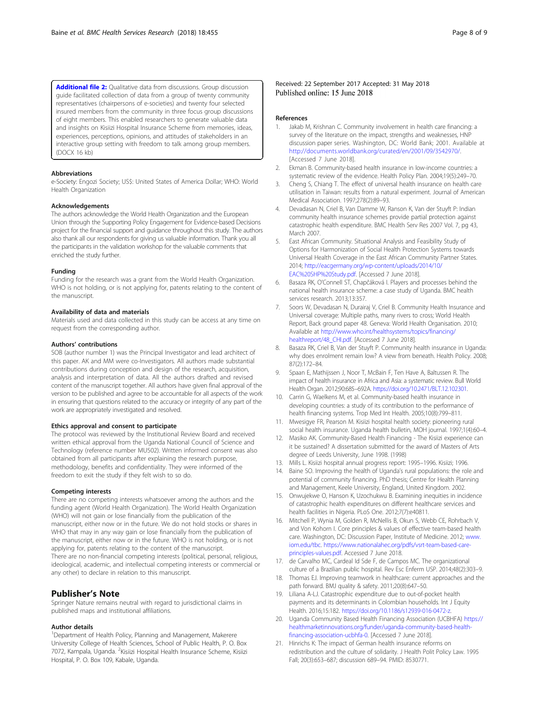<span id="page-7-0"></span>[Additional file 2:](https://doi.org/10.1186/s12913-018-3266-8) Qualitative data from discussions. Group discussion guide facilitated collection of data from a group of twenty community representatives (chairpersons of e-societies) and twenty four selected insured members from the community in three focus group discussions of eight members. This enabled researchers to generate valuable data and insights on Kisiizi Hospital Insurance Scheme from memories, ideas, experiences, perceptions, opinions, and attitudes of stakeholders in an interactive group setting with freedom to talk among group members. (DOCX 16 kb)

#### Abbreviations

e-Society: Engozi Society; US\$: United States of America Dollar; WHO: World Health Organization

#### Acknowledgements

The authors acknowledge the World Health Organization and the European Union through the Supporting Policy Engagement for Evidence-based Decisions project for the financial support and guidance throughout this study. The authors also thank all our respondents for giving us valuable information. Thank you all the participants in the validation workshop for the valuable comments that enriched the study further.

#### Funding

Funding for the research was a grant from the World Health Organization. WHO is not holding, or is not applying for, patents relating to the content of the manuscript.

#### Availability of data and materials

Materials used and data collected in this study can be access at any time on request from the corresponding author.

#### Authors' contributions

SOB (author number 1) was the Principal Investigator and lead architect of this paper. AK and MM were co-Investigators. All authors made substantial contributions during conception and design of the research, acquisition, analysis and interpretation of data. All the authors drafted and revised content of the manuscript together. All authors have given final approval of the version to be published and agree to be accountable for all aspects of the work in ensuring that questions related to the accuracy or integrity of any part of the work are appropriately investigated and resolved.

#### Ethics approval and consent to participate

The protocol was reviewed by the Institutional Review Board and received written ethical approval from the Uganda National Council of Science and Technology (reference number MU502). Written informed consent was also obtained from all participants after explaining the research purpose, methodology, benefits and confidentiality. They were informed of the freedom to exit the study if they felt wish to so do.

#### Competing interests

There are no competing interests whatsoever among the authors and the funding agent (World Health Organization). The World Health Organization (WHO) will not gain or lose financially from the publication of the manuscript, either now or in the future. We do not hold stocks or shares in WHO that may in any way gain or lose financially from the publication of the manuscript, either now or in the future. WHO is not holding, or is not applying for, patents relating to the content of the manuscript. There are no non-financial competing interests (political, personal, religious, ideological, academic, and intellectual competing interests or commercial or any other) to declare in relation to this manuscript.

#### Publisher's Note

Springer Nature remains neutral with regard to jurisdictional claims in published maps and institutional affiliations.

#### Author details

<sup>1</sup>Department of Health Policy, Planning and Management, Makerere University College of Health Sciences, School of Public Health, P. O. Box 7072, Kampala, Uganda. <sup>2</sup>Kisiizi Hospital Health Insurance Scheme, Kisiizi Hospital, P. O. Box 109, Kabale, Uganda.

Received: 22 September 2017 Accepted: 31 May 2018 Published online: 15 June 2018

#### References

- 1. Jakab M, Krishnan C. Community involvement in health care financing: a survey of the literature on the impact, strengths and weaknesses, HNF discussion paper series. Washington, DC: World Bank; 2001. Available at [http://documents.worldbank.org/curated/en/2001/09/3542970/.](http://documents.worldbank.org/curated/en/2001/09/3542970/) [Accessed 7 June 2018].
- 2. Ekman B. Community-based health insurance in low-income countries: a systematic review of the evidence. Health Policy Plan. 2004;19(5):249–70.
- 3. Cheng S, Chiang T. The effect of universal health insurance on health care utilisation in Taiwan: results from a natural experiment. Journal of American Medical Association. 1997;278(2):89–93.
- 4. Devadasan N, Criel B, Van Damme W, Ranson K, Van der Stuyft P: Indian community health insurance schemes provide partial protection against catastrophic health expenditure. BMC Health Serv Res 2007 Vol. 7, pg 43, March 2007.
- 5. East African Community. Situational Analysis and Feasibility Study of Options for Harmonization of Social Health Protection Systems towards Universal Health Coverage in the East African Community Partner States. 2014; [http://eacgermany.org/wp-content/uploads/2014/10/](http://eacgermany.org/wp-content/uploads/2014/10/EAC%20SHP%20Study.pdf) [EAC%20SHP%20Study.pdf](http://eacgermany.org/wp-content/uploads/2014/10/EAC%20SHP%20Study.pdf). [Accessed 7 June 2018].
- 6. Basaza RK, O'Connell ST, Chapčáková I. Players and processes behind the national health insurance scheme: a case study of Uganda. BMC health services research. 2013;13:357.
- 7. Soors W, Devadasan N, Durairaj V, Criel B. Community Health Insurance and Universal coverage: Multiple paths, many rivers to cross; World Health Report, Back ground paper 48. Geneva: World Health Organisation. 2010; Available at [http://www.who.int/healthsystems/topics/financing/](http://www.who.int/healthsystems/topics/financing/healthreport/48_CHI.pdf) [healthreport/48\\_CHI.pdf](http://www.who.int/healthsystems/topics/financing/healthreport/48_CHI.pdf). [Accessed 7 June 2018].
- Basaza RK, Criel B, Van der Stuyft P. Community health insurance in Uganda: why does enrolment remain low? A view from beneath. Health Policy. 2008; 87(2):172–84.
- 9. Spaan E, Mathijssen J, Noor T, McBain F, Ten Have A, Baltussen R. The impact of health insurance in Africa and Asia: a systematic review. Bull World Health Organ. 2012;90:685–692A. <https://doi.org/10.2471/BLT.12.102301>.
- 10. Carrin G, Waelkens M, et al. Community-based health insurance in developing countries: a study of its contribution to the performance of health financing systems. Trop Med Int Health. 2005;10(8):799–811.
- 11. Mwesigye FR, Pearson M. Kisiizi hospital health society: pioneering rural social health insurance. Uganda health bulletin, MOH journal. 1997;1(4):60–4.
- 12. Masiko AK. Community-Based Health Financing The Kisiizi experience can it be sustained? A dissertation submitted for the award of Masters of Arts degree of Leeds University, June 1998. (1998)
- 13. Mills L. Kisiizi hospital annual progress report: 1995–1996. Kisiizi; 1996.
- 14. Baine SO. Improving the health of Uganda's rural populations: the role and potential of community financing. PhD thesis; Centre for Health Planning and Management, Keele University, England, United Kingdom. 2002.
- 15. Onwujekwe O, Hanson K, Uzochukwu B. Examining inequities in incidence of catastrophic health expenditures on different healthcare services and health facilities in Nigeria. PLoS One. 2012;7(7):e40811.
- 16. Mitchell P, Wynia M, Golden R, McNellis B, Okun S, Webb CE, Rohrbach V, and Von Kohorn I. Core principles & values of effective team-based health care. Washington, DC: Discussion Paper, Institute of Medicine. 2012; [www.](http://www.iom.edu/tbc) [iom.edu/tbc.](http://www.iom.edu/tbc) [https://www.nationalahec.org/pdfs/vsrt-team-based-care](https://www.nationalahec.org/pdfs/vsrt-team-based-care-principles-values.pdf)[principles-values.pdf](https://www.nationalahec.org/pdfs/vsrt-team-based-care-principles-values.pdf). Accessed 7 June 2018.
- 17. de Carvalho MC, Cardeal Id Sde F, de Campos MC. The organizational culture of a Brazilian public hospital. Rev Esc Enferm USP. 2014;48(2):303–9.
- Thomas EJ. Improving teamwork in healthcare: current approaches and the path forward. BMJ quality & safety. 2011;20(8):647–50.
- 19. Liliana A-LJ. Catastrophic expenditure due to out-of-pocket health payments and its determinants in Colombian households. Int J Equity Health. 2016;15:182. [https://doi.org/10.1186/s12939-016-0472-z.](https://doi.org/10.1186/s12939-016-0472-z)
- 20. Uganda Community Based Health Financing Association (UCBHFA) [https://](https://healthmarketinnovations.org/funder/uganda-community-based-health-financing-association-ucbhfa-0) [healthmarketinnovations.org/funder/uganda-community-based-health](https://healthmarketinnovations.org/funder/uganda-community-based-health-financing-association-ucbhfa-0)[financing-association-ucbhfa-0](https://healthmarketinnovations.org/funder/uganda-community-based-health-financing-association-ucbhfa-0). [Accessed 7 June 2018].
- 21. Hinrichs K: The impact of German health insurance reforms on redistribution and the culture of solidarity. J Health Polit Policy Law. 1995 Fall; 20(3):653–687; discussion 689–94. PMID: 8530771.